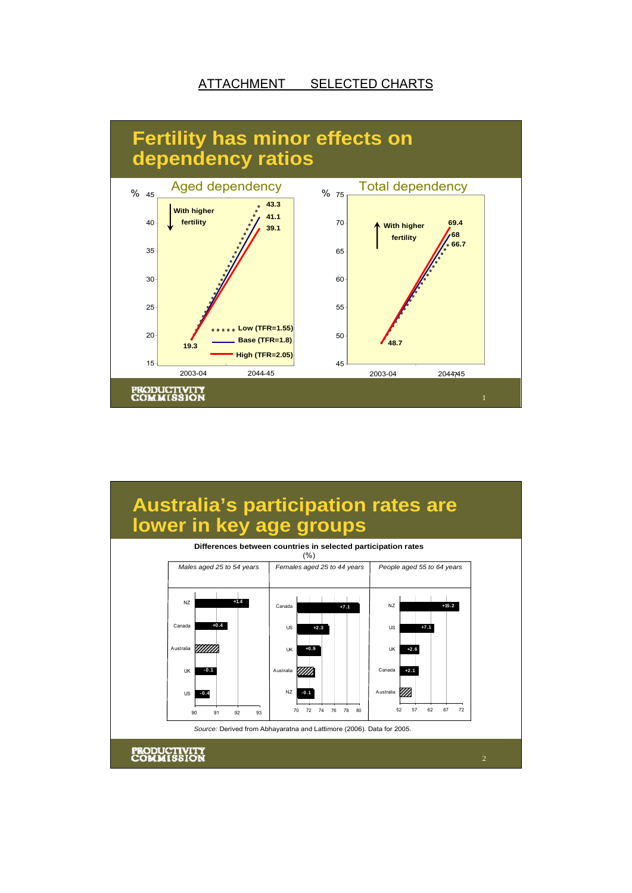## ATTACHMENT SELECTED CHARTS



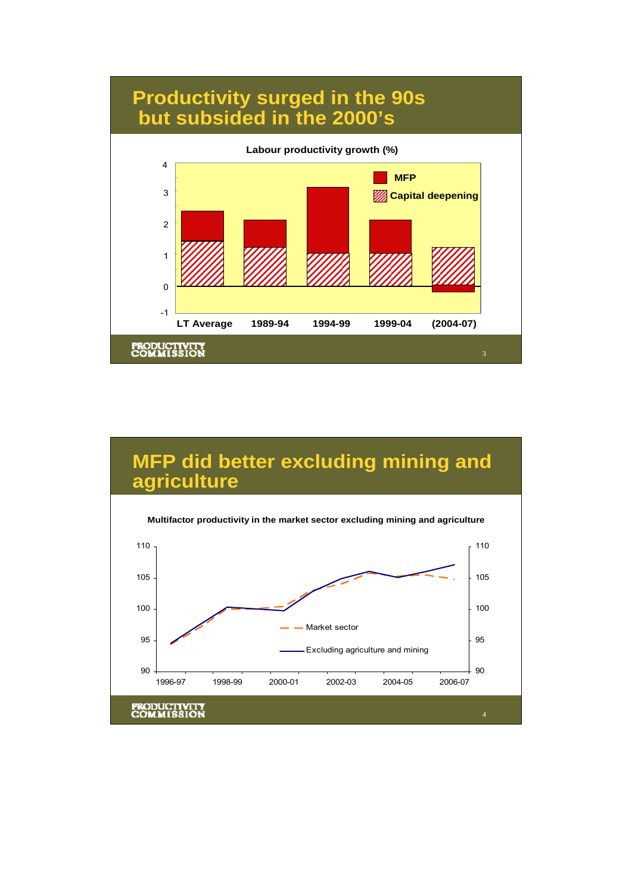